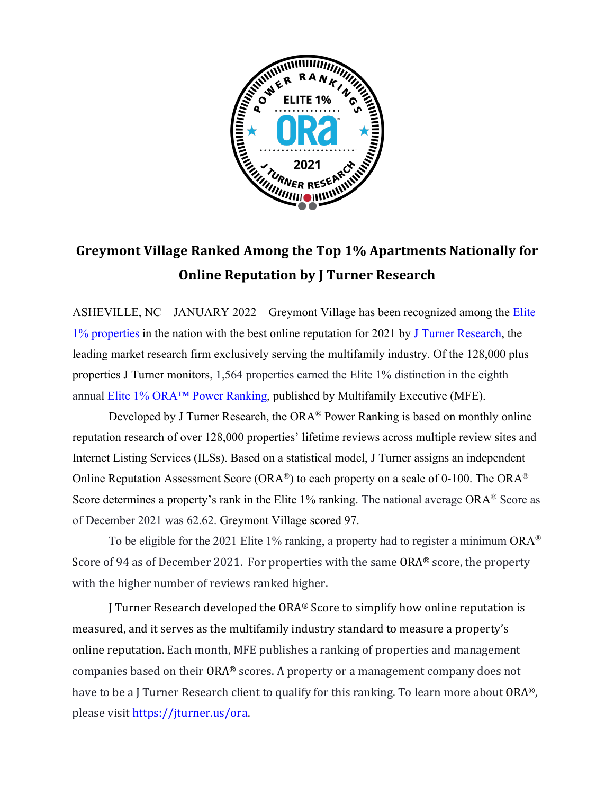

## Greymont Village Ranked Among the Top 1% Apartments Nationally for **Online Reputation by J Turner Research**

ASHEVILLE, NC – JANUARY 2022 – Greymont Village has been recognized among the *Elite* 1% properties in the nation with the best online reputation for 2021 by J Turner Research, the leading market research firm exclusively serving the multifamily industry. Of the 128,000 plus properties J Turner monitors, 1,564 properties earned the Elite 1% distinction in the eighth annual Elite 1% ORA™ Power Ranking, published by Multifamily Executive (MFE).

Developed by J Turner Research, the ORA® Power Ranking is based on monthly online reputation research of over 128,000 properties' lifetime reviews across multiple review sites and Internet Listing Services (ILSs). Based on a statistical model, J Turner assigns an independent Online Reputation Assessment Score (ORA®) to each property on a scale of 0-100. The ORA® Score determines a property's rank in the Elite 1% ranking. The national average ORA<sup>®</sup> Score as of December 2021 was 62.62. Greymont Village scored 97.

To be eligible for the 2021 Elite 1% ranking, a property had to register a minimum  $ORA^{\otimes}$ Score of 94 as of December 2021. For properties with the same  $ORA<sup>®</sup>$  score, the property with the higher number of reviews ranked higher.

J Turner Research developed the  $ORA<sup>®</sup>$  Score to simplify how online reputation is measured, and it serves as the multifamily industry standard to measure a property's online reputation. Each month, MFE publishes a ranking of properties and management companies based on their ORA® scores. A property or a management company does not have to be a J Turner Research client to qualify for this ranking. To learn more about  $ORA^{\circledast}$ , please visit https://jturner.us/ora.